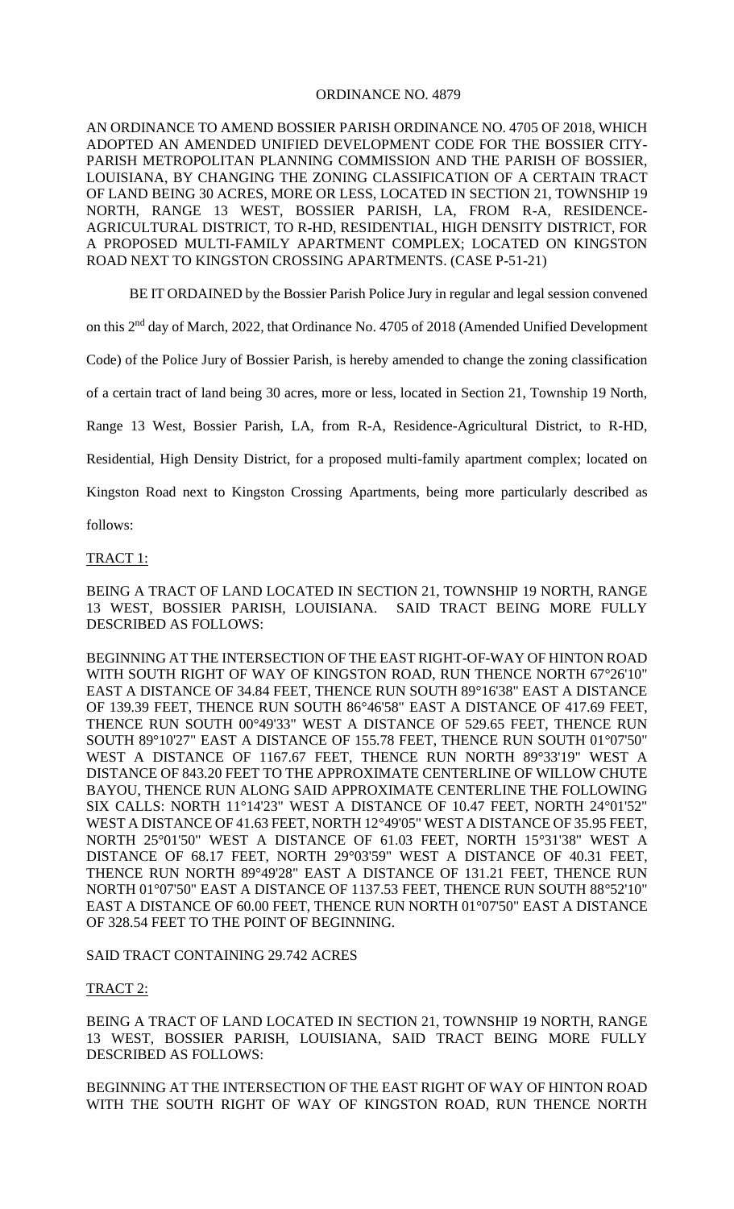## ORDINANCE NO. 4879

AN ORDINANCE TO AMEND BOSSIER PARISH ORDINANCE NO. 4705 OF 2018, WHICH ADOPTED AN AMENDED UNIFIED DEVELOPMENT CODE FOR THE BOSSIER CITY-PARISH METROPOLITAN PLANNING COMMISSION AND THE PARISH OF BOSSIER, LOUISIANA, BY CHANGING THE ZONING CLASSIFICATION OF A CERTAIN TRACT OF LAND BEING 30 ACRES, MORE OR LESS, LOCATED IN SECTION 21, TOWNSHIP 19 NORTH, RANGE 13 WEST, BOSSIER PARISH, LA, FROM R-A, RESIDENCE-AGRICULTURAL DISTRICT, TO R-HD, RESIDENTIAL, HIGH DENSITY DISTRICT, FOR A PROPOSED MULTI-FAMILY APARTMENT COMPLEX; LOCATED ON KINGSTON ROAD NEXT TO KINGSTON CROSSING APARTMENTS. (CASE P-51-21)

BE IT ORDAINED by the Bossier Parish Police Jury in regular and legal session convened

on this 2<sup>nd</sup> day of March, 2022, that Ordinance No. 4705 of 2018 (Amended Unified Development

Code) of the Police Jury of Bossier Parish, is hereby amended to change the zoning classification

of a certain tract of land being 30 acres, more or less, located in Section 21, Township 19 North,

Range 13 West, Bossier Parish, LA, from R-A, Residence-Agricultural District, to R-HD,

Residential, High Density District, for a proposed multi-family apartment complex; located on

Kingston Road next to Kingston Crossing Apartments, being more particularly described as

follows:

## TRACT 1:

BEING A TRACT OF LAND LOCATED IN SECTION 21, TOWNSHIP 19 NORTH, RANGE 13 WEST, BOSSIER PARISH, LOUISIANA. SAID TRACT BEING MORE FULLY DESCRIBED AS FOLLOWS:

BEGINNING AT THE INTERSECTION OF THE EAST RIGHT-OF-WAY OF HINTON ROAD WITH SOUTH RIGHT OF WAY OF KINGSTON ROAD, RUN THENCE NORTH 67°26'10" EAST A DISTANCE OF 34.84 FEET, THENCE RUN SOUTH 89°16'38" EAST A DISTANCE OF 139.39 FEET, THENCE RUN SOUTH 86°46'58" EAST A DISTANCE OF 417.69 FEET, THENCE RUN SOUTH 00°49'33" WEST A DISTANCE OF 529.65 FEET, THENCE RUN SOUTH 89°10'27" EAST A DISTANCE OF 155.78 FEET, THENCE RUN SOUTH 01°07'50" WEST A DISTANCE OF 1167.67 FEET, THENCE RUN NORTH 89°33'19" WEST A DISTANCE OF 843.20 FEET TO THE APPROXIMATE CENTERLINE OF WILLOW CHUTE BAYOU, THENCE RUN ALONG SAID APPROXIMATE CENTERLINE THE FOLLOWING SIX CALLS: NORTH 11°14'23" WEST A DISTANCE OF 10.47 FEET, NORTH 24°01'52" WEST A DISTANCE OF 41.63 FEET, NORTH 12°49'05" WEST A DISTANCE OF 35.95 FEET, NORTH 25°01'50" WEST A DISTANCE OF 61.03 FEET, NORTH 15°31'38" WEST A DISTANCE OF 68.17 FEET, NORTH 29°03'59" WEST A DISTANCE OF 40.31 FEET, THENCE RUN NORTH 89°49'28" EAST A DISTANCE OF 131.21 FEET, THENCE RUN NORTH 01°07'50" EAST A DISTANCE OF 1137.53 FEET, THENCE RUN SOUTH 88°52'10" EAST A DISTANCE OF 60.00 FEET, THENCE RUN NORTH 01°07'50" EAST A DISTANCE OF 328.54 FEET TO THE POINT OF BEGINNING.

SAID TRACT CONTAINING 29.742 ACRES

## TRACT 2:

BEING A TRACT OF LAND LOCATED IN SECTION 21, TOWNSHIP 19 NORTH, RANGE 13 WEST, BOSSIER PARISH, LOUISIANA, SAID TRACT BEING MORE FULLY DESCRIBED AS FOLLOWS:

BEGINNING AT THE INTERSECTION OF THE EAST RIGHT OF WAY OF HINTON ROAD WITH THE SOUTH RIGHT OF WAY OF KINGSTON ROAD, RUN THENCE NORTH